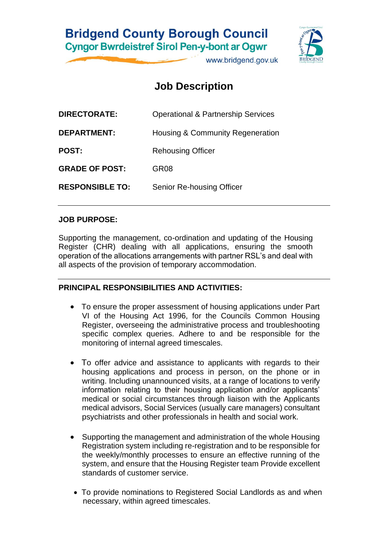## **Bridgend County Borough Council Cyngor Bwrdeistref Sirol Pen-y-bont ar Ogwr**

www.bridgend.gov.uk

## **Job Description**

| <b>DIRECTORATE:</b>    | <b>Operational &amp; Partnership Services</b> |
|------------------------|-----------------------------------------------|
| <b>DEPARTMENT:</b>     | Housing & Community Regeneration              |
| <b>POST:</b>           | <b>Rehousing Officer</b>                      |
| <b>GRADE OF POST:</b>  | GR <sub>08</sub>                              |
| <b>RESPONSIBLE TO:</b> | Senior Re-housing Officer                     |
|                        |                                               |

### **JOB PURPOSE:**

Supporting the management, co-ordination and updating of the Housing Register (CHR) dealing with all applications, ensuring the smooth operation of the allocations arrangements with partner RSL's and deal with all aspects of the provision of temporary accommodation.

## **PRINCIPAL RESPONSIBILITIES AND ACTIVITIES:**

- To ensure the proper assessment of housing applications under Part VI of the Housing Act 1996, for the Councils Common Housing Register, overseeing the administrative process and troubleshooting specific complex queries. Adhere to and be responsible for the monitoring of internal agreed timescales.
- To offer advice and assistance to applicants with regards to their housing applications and process in person, on the phone or in writing. Including unannounced visits, at a range of locations to verify information relating to their housing application and/or applicants' medical or social circumstances through liaison with the Applicants medical advisors, Social Services (usually care managers) consultant psychiatrists and other professionals in health and social work.
- Supporting the management and administration of the whole Housing Registration system including re-registration and to be responsible for the weekly/monthly processes to ensure an effective running of the system, and ensure that the Housing Register team Provide excellent standards of customer service.
- To provide nominations to Registered Social Landlords as and when necessary, within agreed timescales.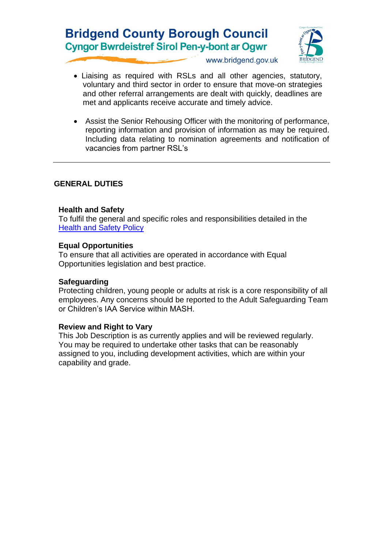## **Bridgend County Borough Council Cyngor Bwrdeistref Sirol Pen-y-bont ar Ogwr**



www.bridgend.gov.uk

- Liaising as required with RSLs and all other agencies, statutory, voluntary and third sector in order to ensure that move-on strategies and other referral arrangements are dealt with quickly, deadlines are met and applicants receive accurate and timely advice.
- Assist the Senior Rehousing Officer with the monitoring of performance, reporting information and provision of information as may be required. Including data relating to nomination agreements and notification of vacancies from partner RSL's

### **GENERAL DUTIES**

#### **Health and Safety**

To fulfil the general and specific roles and responsibilities detailed in the [Health and Safety Policy](http://www.bridgenders.net/healthandsafety/Documents/Policies/Corporate%20Health%20and%20Safety%20Policy.pdf)

#### **Equal Opportunities**

To ensure that all activities are operated in accordance with Equal Opportunities legislation and best practice.

#### **Safeguarding**

Protecting children, young people or adults at risk is a core responsibility of all employees. Any concerns should be reported to the Adult Safeguarding Team or Children's IAA Service within MASH.

#### **Review and Right to Vary**

This Job Description is as currently applies and will be reviewed regularly. You may be required to undertake other tasks that can be reasonably assigned to you, including development activities, which are within your capability and grade.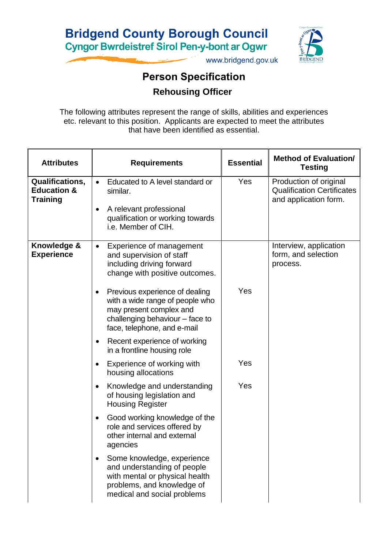

www.bridgend.gov.uk

# **Person Specification Rehousing Officer**

The following attributes represent the range of skills, abilities and experiences etc. relevant to this position. Applicants are expected to meet the attributes that have been identified as essential.

| <b>Attributes</b>                                            | <b>Requirements</b>                                                                                                                                            | <b>Essential</b> | <b>Method of Evaluation/</b><br><b>Testing</b>                                       |
|--------------------------------------------------------------|----------------------------------------------------------------------------------------------------------------------------------------------------------------|------------------|--------------------------------------------------------------------------------------|
| Qualifications,<br><b>Education &amp;</b><br><b>Training</b> | Educated to A level standard or<br>$\bullet$<br>similar.<br>A relevant professional<br>qualification or working towards<br>i.e. Member of CIH.                 | Yes              | Production of original<br><b>Qualification Certificates</b><br>and application form. |
| Knowledge &<br><b>Experience</b>                             | Experience of management<br>$\bullet$<br>and supervision of staff<br>including driving forward<br>change with positive outcomes.                               |                  | Interview, application<br>form, and selection<br>process.                            |
|                                                              | Previous experience of dealing<br>with a wide range of people who<br>may present complex and<br>challenging behaviour - face to<br>face, telephone, and e-mail | Yes              |                                                                                      |
|                                                              | Recent experience of working<br>in a frontline housing role                                                                                                    |                  |                                                                                      |
|                                                              | Experience of working with<br>housing allocations                                                                                                              | Yes              |                                                                                      |
|                                                              | Knowledge and understanding<br>of housing legislation and<br><b>Housing Register</b>                                                                           | Yes              |                                                                                      |
|                                                              | Good working knowledge of the<br>role and services offered by<br>other internal and external<br>agencies                                                       |                  |                                                                                      |
|                                                              | Some knowledge, experience<br>and understanding of people<br>with mental or physical health<br>problems, and knowledge of<br>medical and social problems       |                  |                                                                                      |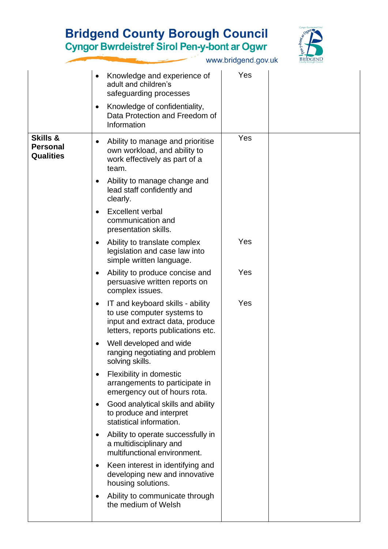# **Bridgend County Borough Council<br>Cyngor Bwrdeistref Sirol Pen-y-bont ar Ogwr**



www.bridgend.gov.uk

|                                                            | Knowledge and experience of<br>adult and children's<br>safeguarding processes<br>Knowledge of confidentiality,<br>٠<br>Data Protection and Freedom of<br>Information                                                                                                                                                                                                                                                                                                                                                                                                                                                                                                                                                                                                                                                                                                                                                                                                                                                                                                                                                                                                                                                                                                            | Yes                      |  |
|------------------------------------------------------------|---------------------------------------------------------------------------------------------------------------------------------------------------------------------------------------------------------------------------------------------------------------------------------------------------------------------------------------------------------------------------------------------------------------------------------------------------------------------------------------------------------------------------------------------------------------------------------------------------------------------------------------------------------------------------------------------------------------------------------------------------------------------------------------------------------------------------------------------------------------------------------------------------------------------------------------------------------------------------------------------------------------------------------------------------------------------------------------------------------------------------------------------------------------------------------------------------------------------------------------------------------------------------------|--------------------------|--|
| <b>Skills &amp;</b><br><b>Personal</b><br><b>Qualities</b> | Ability to manage and prioritise<br>$\bullet$<br>own workload, and ability to<br>work effectively as part of a<br>team.<br>Ability to manage change and<br>$\bullet$<br>lead staff confidently and<br>clearly.<br><b>Excellent verbal</b><br>$\bullet$<br>communication and<br>presentation skills.<br>Ability to translate complex<br>٠<br>legislation and case law into<br>simple written language.<br>Ability to produce concise and<br>$\bullet$<br>persuasive written reports on<br>complex issues.<br>IT and keyboard skills - ability<br>$\bullet$<br>to use computer systems to<br>input and extract data, produce<br>letters, reports publications etc.<br>Well developed and wide<br>$\bullet$<br>ranging negotiating and problem<br>solving skills.<br>Flexibility in domestic<br>$\bullet$<br>arrangements to participate in<br>emergency out of hours rota.<br>Good analytical skills and ability<br>$\bullet$<br>to produce and interpret<br>statistical information.<br>Ability to operate successfully in<br>$\bullet$<br>a multidisciplinary and<br>multifunctional environment.<br>Keen interest in identifying and<br>$\bullet$<br>developing new and innovative<br>housing solutions.<br>Ability to communicate through<br>$\bullet$<br>the medium of Welsh | Yes<br>Yes<br>Yes<br>Yes |  |
|                                                            |                                                                                                                                                                                                                                                                                                                                                                                                                                                                                                                                                                                                                                                                                                                                                                                                                                                                                                                                                                                                                                                                                                                                                                                                                                                                                 |                          |  |